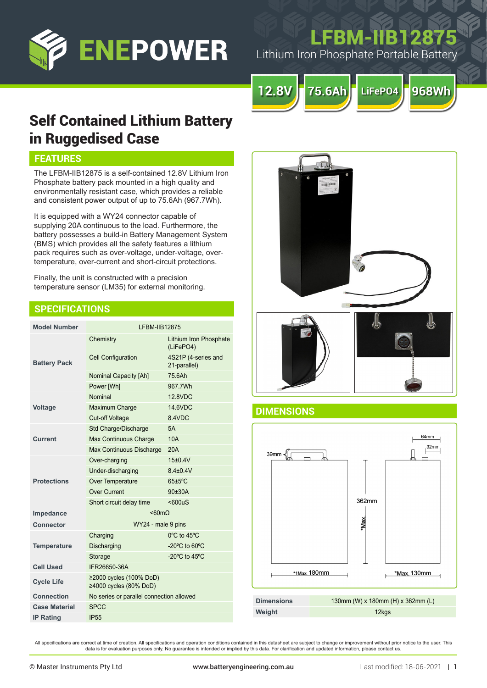

# FBM-IIB128

Lithium Iron Phosphate Portable Battery



## Self Contained Lithium Battery in Ruggedised Case

## **FEATURES**

The LFBM-IIB12875 is a self-contained 12.8V Lithium Iron Phosphate battery pack mounted in a high quality and environmentally resistant case, which provides a reliable and consistent power output of up to 75.6Ah (967.7Wh).

It is equipped with a WY24 connector capable of supplying 20A continuous to the load. Furthermore, the battery possesses a build-in Battery Management System (BMS) which provides all the safety features a lithium pack requires such as over-voltage, under-voltage, overtemperature, over-current and short-circuit protections.

Finally, the unit is constructed with a precision temperature sensor (LM35) for external monitoring.

## **SPECIFICATIONS**

| <b>Model Number</b>  | <b>LFBM-IIB12875</b>                              |                                     |
|----------------------|---------------------------------------------------|-------------------------------------|
| <b>Battery Pack</b>  | Chemistry                                         | Lithium Iron Phosphate<br>(LiFePO4) |
|                      | <b>Cell Configuration</b>                         | 4S21P (4-series and<br>21-parallel) |
|                      | <b>Nominal Capacity [Ah]</b>                      | 756Ah                               |
|                      | Power [Wh]                                        | 967.7Wh                             |
| <b>Voltage</b>       | Nominal                                           | 12 8VDC                             |
|                      | Maximum Charge                                    | 14.6VDC                             |
|                      | <b>Cut-off Voltage</b>                            | 8.4VDC                              |
| <b>Current</b>       | Std Charge/Discharge                              | 5A                                  |
|                      | Max Continuous Charge                             | 10A                                 |
|                      | Max Continuous Discharge                          | 20A                                 |
| <b>Protections</b>   | Over-charging                                     | $15+0.4V$                           |
|                      | Under-discharging                                 | $8.4 + 0.4V$                        |
|                      | Over Temperature                                  | $65 \pm 5$ °C                       |
|                      | Over Current                                      | $90 + 30A$                          |
|                      | Short circuit delay time                          | $600uS$                             |
| Impedance            | $< 60 m\Omega$                                    |                                     |
| <b>Connector</b>     | WY24 - male 9 pins                                |                                     |
| <b>Temperature</b>   | Charging                                          | $0^{\circ}$ C to 45 $^{\circ}$ C    |
|                      | Discharging                                       | -20 $^{\circ}$ C to 60 $^{\circ}$ C |
|                      | Storage                                           | -20 $^{\circ}$ C to 45 $^{\circ}$ C |
| <b>Cell Used</b>     | IFR26650-36A                                      |                                     |
| <b>Cycle Life</b>    | ≥2000 cycles (100% DoD)<br>≥4000 cycles (80% DoD) |                                     |
| Connection           | No series or parallel connection allowed          |                                     |
| <b>Case Material</b> | <b>SPCC</b>                                       |                                     |
| <b>IP Rating</b>     | <b>IP55</b>                                       |                                     |



### **DIMENSIONS**



All specifications are correct at time of creation. All specifications and operation conditions contained in this datasheet are subject to change or improvement without prior notice to the user. This data is for evaluation purposes only. No guarantee is intended or implied by this data. For clarification and updated information, please contact us.